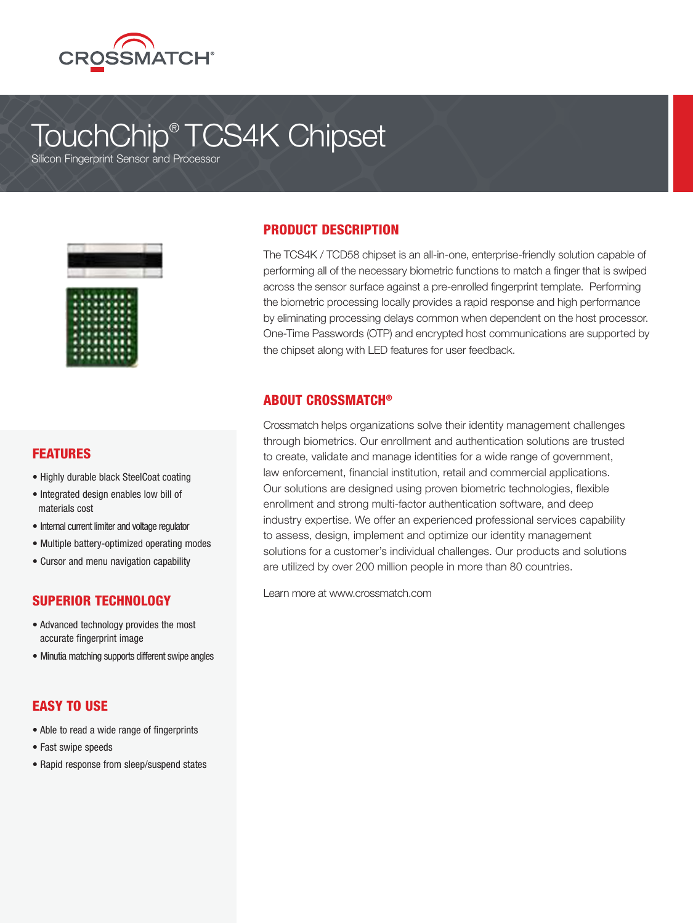

# TouchChip® TCS4K Chipset

Silicon Fingerprint Sensor and Processor





#### FEATURES

- Highly durable black SteelCoat coating
- Integrated design enables low bill of materials cost
- Internal current limiter and voltage regulator
- Multiple battery-optimized operating modes
- Cursor and menu navigation capability

### SUPERIOR TECHNOLOGY

- Advanced technology provides the most accurate fingerprint image
- Minutia matching supports different swipe angles

#### EASY TO USE

- Able to read a wide range of fingerprints
- Fast swipe speeds
- Rapid response from sleep/suspend states

#### PRODUCT DESCRIPTION

The TCS4K / TCD58 chipset is an all-in-one, enterprise-friendly solution capable of performing all of the necessary biometric functions to match a finger that is swiped across the sensor surface against a pre-enrolled fingerprint template. Performing the biometric processing locally provides a rapid response and high performance by eliminating processing delays common when dependent on the host processor. One-Time Passwords (OTP) and encrypted host communications are supported by the chipset along with LED features for user feedback.

#### ABOUT CROSSMATCH®

Crossmatch helps organizations solve their identity management challenges through biometrics. Our enrollment and authentication solutions are trusted to create, validate and manage identities for a wide range of government, law enforcement, financial institution, retail and commercial applications. Our solutions are designed using proven biometric technologies, flexible enrollment and strong multi-factor authentication software, and deep industry expertise. We offer an experienced professional services capability to assess, design, implement and optimize our identity management solutions for a customer's individual challenges. Our products and solutions are utilized by over 200 million people in more than 80 countries.

Learn more at www.crossmatch.com